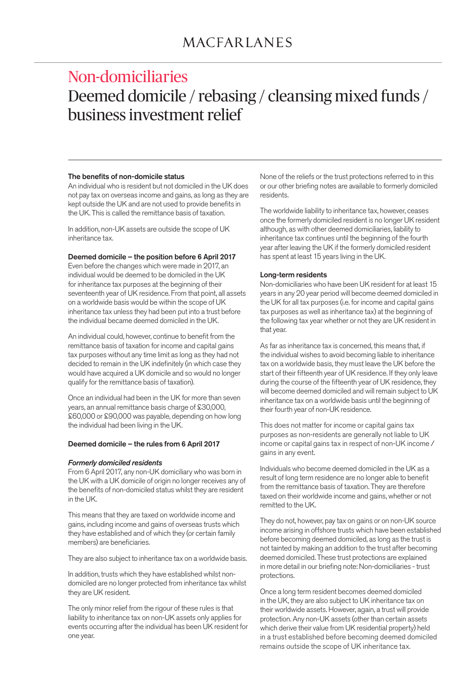# Non-domiciliaries Deemed domicile / rebasing / cleansing mixed funds / business investment relief

#### The benefits of non-domicile status

An individual who is resident but not domiciled in the UK does not pay tax on overseas income and gains, as long as they are kept outside the UK and are not used to provide benefits in the UK. This is called the remittance basis of taxation.

In addition, non-UK assets are outside the scope of UK inheritance tax.

#### Deemed domicile – the position before 6 April 2017

Even before the changes which were made in 2017, an individual would be deemed to be domiciled in the UK for inheritance tax purposes at the beginning of their seventeenth year of UK residence. From that point, all assets on a worldwide basis would be within the scope of UK inheritance tax unless they had been put into a trust before the individual became deemed domiciled in the UK.

An individual could, however, continue to benefit from the remittance basis of taxation for income and capital gains tax purposes without any time limit as long as they had not decided to remain in the UK indefinitely (in which case they would have acquired a UK domicile and so would no longer qualify for the remittance basis of taxation).

Once an individual had been in the UK for more than seven years, an annual remittance basis charge of £30,000, £60,000 or £90,000 was payable, depending on how long the individual had been living in the UK.

#### Deemed domicile – the rules from 6 April 2017

#### *Formerly domiciled residents*

From 6 April 2017, any non-UK domiciliary who was born in the UK with a UK domicile of origin no longer receives any of the benefits of non-domiciled status whilst they are resident in the UK.

This means that they are taxed on worldwide income and gains, including income and gains of overseas trusts which they have established and of which they (or certain family members) are beneficiaries.

They are also subject to inheritance tax on a worldwide basis.

In addition, trusts which they have established whilst nondomiciled are no longer protected from inheritance tax whilst they are UK resident.

The only minor relief from the rigour of these rules is that liability to inheritance tax on non-UK assets only applies for events occurring after the individual has been UK resident for one year.

None of the reliefs or the trust protections referred to in this or our other briefing notes are available to formerly domiciled residents.

The worldwide liability to inheritance tax, however, ceases once the formerly domiciled resident is no longer UK resident although, as with other deemed domiciliaries, liability to inheritance tax continues until the beginning of the fourth year after leaving the UK if the formerly domiciled resident has spent at least 15 years living in the UK.

#### Long-term residents

Non-domiciliaries who have been UK resident for at least 15 years in any 20 year period will become deemed domiciled in the UK for all tax purposes (i.e. for income and capital gains tax purposes as well as inheritance tax) at the beginning of the following tax year whether or not they are UK resident in that year.

As far as inheritance tax is concerned, this means that, if the individual wishes to avoid becoming liable to inheritance tax on a worldwide basis, they must leave the UK before the start of their fifteenth year of UK residence. If they only leave during the course of the fifteenth year of UK residence, they will become deemed domiciled and will remain subject to UK inheritance tax on a worldwide basis until the beginning of their fourth year of non-UK residence.

This does not matter for income or capital gains tax purposes as non-residents are generally not liable to UK income or capital gains tax in respect of non-UK income / gains in any event.

Individuals who become deemed domiciled in the UK as a result of long term residence are no longer able to benefit from the remittance basis of taxation. They are therefore taxed on their worldwide income and gains, whether or not remitted to the UK.

They do not, however, pay tax on gains or on non-UK source income arising in offshore trusts which have been established before becoming deemed domiciled, as long as the trust is not tainted by making an addition to the trust after becoming deemed domiciled. These trust protections are explained in more detail in our briefing note: Non-domiciliaries - trust protections.

Once a long term resident becomes deemed domiciled in the UK, they are also subject to UK inheritance tax on their worldwide assets. However, again, a trust will provide protection. Any non-UK assets (other than certain assets which derive their value from UK residential property) held in a trust established before becoming deemed domiciled remains outside the scope of UK inheritance tax.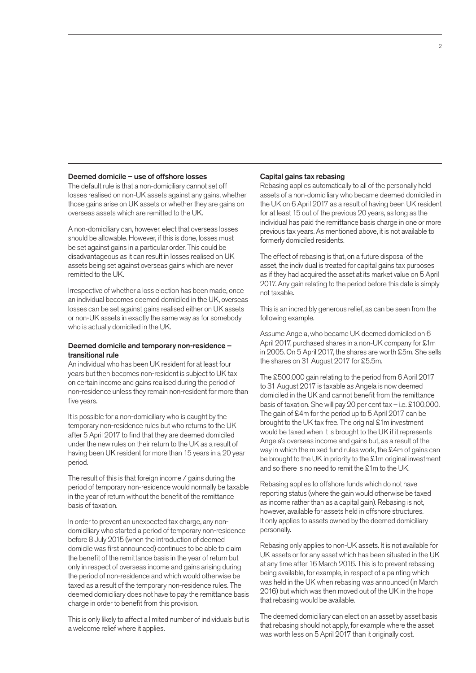#### Deemed domicile – use of offshore losses

The default rule is that a non-domiciliary cannot set off losses realised on non-UK assets against any gains, whether those gains arise on UK assets or whether they are gains on overseas assets which are remitted to the UK.

A non-domiciliary can, however, elect that overseas losses should be allowable. However, if this is done, losses must be set against gains in a particular order. This could be disadvantageous as it can result in losses realised on UK assets being set against overseas gains which are never remitted to the UK.

Irrespective of whether a loss election has been made, once an individual becomes deemed domiciled in the UK, overseas losses can be set against gains realised either on UK assets or non-UK assets in exactly the same way as for somebody who is actually domiciled in the UK.

#### Deemed domicile and temporary non-residence – transitional rule

An individual who has been UK resident for at least four years but then becomes non-resident is subject to UK tax on certain income and gains realised during the period of non-residence unless they remain non-resident for more than five years.

It is possible for a non-domiciliary who is caught by the temporary non-residence rules but who returns to the UK after 5 April 2017 to find that they are deemed domiciled under the new rules on their return to the UK as a result of having been UK resident for more than 15 years in a 20 year period.

The result of this is that foreign income / gains during the period of temporary non-residence would normally be taxable in the year of return without the benefit of the remittance basis of taxation.

In order to prevent an unexpected tax charge, any nondomiciliary who started a period of temporary non-residence before 8 July 2015 (when the introduction of deemed domicile was first announced) continues to be able to claim the benefit of the remittance basis in the year of return but only in respect of overseas income and gains arising during the period of non-residence and which would otherwise be taxed as a result of the temporary non-residence rules. The deemed domiciliary does not have to pay the remittance basis charge in order to benefit from this provision.

This is only likely to affect a limited number of individuals but is a welcome relief where it applies.

#### Capital gains tax rebasing

Rebasing applies automatically to all of the personally held assets of a non-domiciliary who became deemed domiciled in the UK on 6 April 2017 as a result of having been UK resident for at least 15 out of the previous 20 years, as long as the individual has paid the remittance basis charge in one or more previous tax years. As mentioned above, it is not available to formerly domiciled residents.

The effect of rebasing is that, on a future disposal of the asset, the individual is treated for capital gains tax purposes as if they had acquired the asset at its market value on 5 April 2017. Any gain relating to the period before this date is simply not taxable.

This is an incredibly generous relief, as can be seen from the following example.

Assume Angela, who became UK deemed domiciled on 6 April 2017, purchased shares in a non-UK company for £1m in 2005. On 5 April 2017, the shares are worth £5m. She sells the shares on 31 August 2017 for £5.5m.

The £500,000 gain relating to the period from 6 April 2017 to 31 August 2017 is taxable as Angela is now deemed domiciled in the UK and cannot benefit from the remittance basis of taxation. She will pay 20 per cent tax – i.e. £100,000. The gain of £4m for the period up to 5 April 2017 can be brought to the UK tax free. The original £1m investment would be taxed when it is brought to the UK if it represents Angela's overseas income and gains but, as a result of the way in which the mixed fund rules work, the £4m of gains can be brought to the UK in priority to the £1m original investment and so there is no need to remit the £1m to the UK.

Rebasing applies to offshore funds which do not have reporting status (where the gain would otherwise be taxed as income rather than as a capital gain). Rebasing is not, however, available for assets held in offshore structures. It only applies to assets owned by the deemed domiciliary personally.

Rebasing only applies to non-UK assets. It is not available for UK assets or for any asset which has been situated in the UK at any time after 16 March 2016. This is to prevent rebasing being available, for example, in respect of a painting which was held in the UK when rebasing was announced (in March 2016) but which was then moved out of the UK in the hope that rebasing would be available.

The deemed domiciliary can elect on an asset by asset basis that rebasing should not apply, for example where the asset was worth less on 5 April 2017 than it originally cost.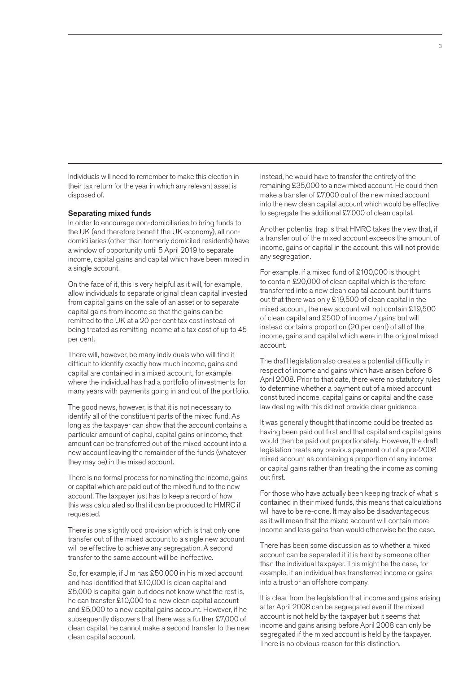Individuals will need to remember to make this election in their tax return for the year in which any relevant asset is disposed of.

#### Separating mixed funds

In order to encourage non-domiciliaries to bring funds to the UK (and therefore benefit the UK economy), all nondomiciliaries (other than formerly domiciled residents) have a window of opportunity until 5 April 2019 to separate income, capital gains and capital which have been mixed in a single account.

On the face of it, this is very helpful as it will, for example, allow individuals to separate original clean capital invested from capital gains on the sale of an asset or to separate capital gains from income so that the gains can be remitted to the UK at a 20 per cent tax cost instead of being treated as remitting income at a tax cost of up to 45 per cent.

There will, however, be many individuals who will find it difficult to identify exactly how much income, gains and capital are contained in a mixed account, for example where the individual has had a portfolio of investments for many years with payments going in and out of the portfolio.

The good news, however, is that it is not necessary to identify all of the constituent parts of the mixed fund. As long as the taxpayer can show that the account contains a particular amount of capital, capital gains or income, that amount can be transferred out of the mixed account into a new account leaving the remainder of the funds (whatever they may be) in the mixed account.

There is no formal process for nominating the income, gains or capital which are paid out of the mixed fund to the new account. The taxpayer just has to keep a record of how this was calculated so that it can be produced to HMRC if requested.

There is one slightly odd provision which is that only one transfer out of the mixed account to a single new account will be effective to achieve any segregation. A second transfer to the same account will be ineffective.

So, for example, if Jim has £50,000 in his mixed account and has identified that £10,000 is clean capital and £5,000 is capital gain but does not know what the rest is, he can transfer £10,000 to a new clean capital account and £5,000 to a new capital gains account. However, if he subsequently discovers that there was a further £7,000 of clean capital, he cannot make a second transfer to the new clean capital account.

Instead, he would have to transfer the entirety of the remaining £35,000 to a new mixed account. He could then make a transfer of £7,000 out of the new mixed account into the new clean capital account which would be effective to segregate the additional £7,000 of clean capital.

Another potential trap is that HMRC takes the view that, if a transfer out of the mixed account exceeds the amount of income, gains or capital in the account, this will not provide any segregation.

For example, if a mixed fund of £100,000 is thought to contain £20,000 of clean capital which is therefore transferred into a new clean capital account, but it turns out that there was only £19,500 of clean capital in the mixed account, the new account will not contain £19,500 of clean capital and £500 of income / gains but will instead contain a proportion (20 per cent) of all of the income, gains and capital which were in the original mixed account.

The draft legislation also creates a potential difficulty in respect of income and gains which have arisen before 6 April 2008. Prior to that date, there were no statutory rules to determine whether a payment out of a mixed account constituted income, capital gains or capital and the case law dealing with this did not provide clear guidance.

It was generally thought that income could be treated as having been paid out first and that capital and capital gains would then be paid out proportionately. However, the draft legislation treats any previous payment out of a pre-2008 mixed account as containing a proportion of any income or capital gains rather than treating the income as coming out first.

For those who have actually been keeping track of what is contained in their mixed funds, this means that calculations will have to be re-done. It may also be disadvantageous as it will mean that the mixed account will contain more income and less gains than would otherwise be the case.

There has been some discussion as to whether a mixed account can be separated if it is held by someone other than the individual taxpayer. This might be the case, for example, if an individual has transferred income or gains into a trust or an offshore company.

It is clear from the legislation that income and gains arising after April 2008 can be segregated even if the mixed account is not held by the taxpayer but it seems that income and gains arising before April 2008 can only be segregated if the mixed account is held by the taxpayer. There is no obvious reason for this distinction.